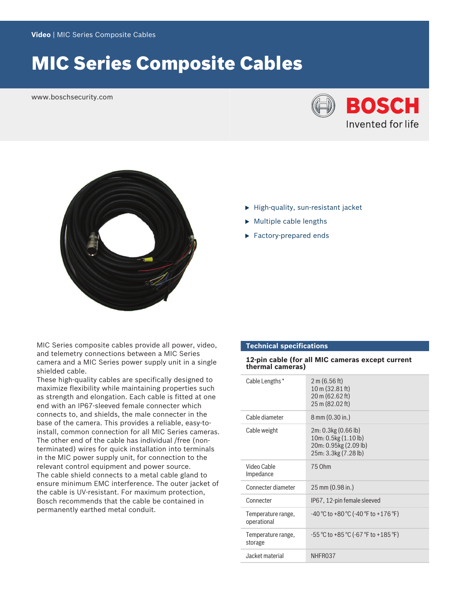# MIC Series Composite Cables

www.boschsecurity.com





MIC Series composite cables provide all power, video, and telemetry connections between a MIC Series camera and a MIC Series power supply unit in a single shielded cable.

These high-quality cables are specifically designed to maximize flexibility while maintaining properties such as strength and elongation. Each cable is fitted at one end with an IP67-sleeved female connecter which connects to, and shields, the male connecter in the base of the camera. This provides a reliable, easy-toinstall, common connection for all MIC Series cameras. The other end of the cable has individual /free (nonterminated) wires for quick installation into terminals in the MIC power supply unit, for connection to the relevant control equipment and power source. The cable shield connects to a metal cable gland to ensure minimum EMC interference. The outer jacket of the cable is UV-resistant. For maximum protection, Bosch recommends that the cable be contained in permanently earthed metal conduit.

- $\blacktriangleright$  High-quality, sun-resistant jacket
- $\blacktriangleright$  Multiple cable lengths
- $\blacktriangleright$  Factory-prepared ends

# **Technical specifications**

**12-pin cable (for all MIC cameras except current thermal cameras)**

| Cable Lengths*                    | 2 m (6.56 ft)<br>$10 \text{ m}$ (32.81 ft)<br>20 m (62.62 ft)<br>25 m (82.02 ft)             |
|-----------------------------------|----------------------------------------------------------------------------------------------|
| Cable diameter                    | 8 mm (0.30 in.)                                                                              |
| Cable weight                      | 2m: 0.3kg (0.66 lb)<br>10m: 0.5kg (1.10 lb)<br>20m: 0.95kg (2.09 lb)<br>25m: 3.3kg (7.28 lb) |
| Video Cable<br>Impedance          | 75 Ohm                                                                                       |
| Connecter diameter                | 25 mm (0.98 in.)                                                                             |
| Connecter                         | IP67, 12-pin female sleeved                                                                  |
| Temperature range,<br>operational | $-40^{\circ}$ C to +80 °C (-40 °F to +176 °F)                                                |
| Temperature range,<br>storage     | $-55^{\circ}$ C to +85 °C (-67 °F to +185 °F)                                                |
| Jacket material                   | NHFR037                                                                                      |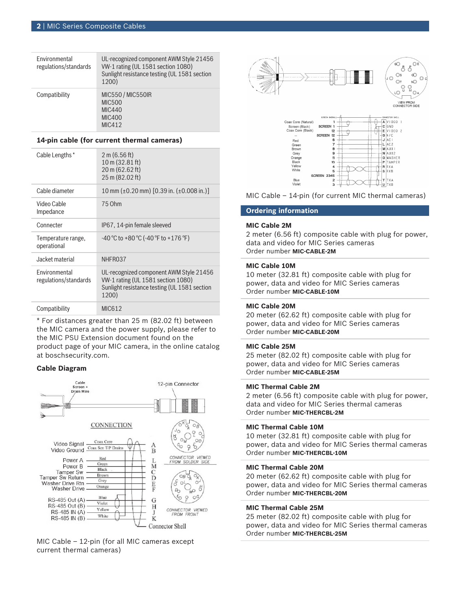| Environmental<br>regulations/standards | UL-recognized component AWM Style 21456<br>VW-1 rating (UL 1581 section 1080)<br>Sunlight resistance testing (UL 1581 section<br>1200) |
|----------------------------------------|----------------------------------------------------------------------------------------------------------------------------------------|
| Compatibility                          | <b>MIC550 / MIC550IR</b><br><b>MIC500</b><br><b>MIC440</b><br><b>MIC400</b><br>MIC412                                                  |

### **14-pin cable (for current thermal cameras)**

| Cable Lengths *                               | 2 m (6.56 ft)<br>10 m (32.81 ft)<br>20 m (62.62 ft)<br>25 m (82.02 ft)                                                                 |
|-----------------------------------------------|----------------------------------------------------------------------------------------------------------------------------------------|
| Cable diameter                                | 10 mm (±0.20 mm) [0.39 in. (±0.008 in.)]                                                                                               |
| Video Cable<br>Impedance                      | 75 Ohm                                                                                                                                 |
| Connecter                                     | IP67, 14-pin female sleeved                                                                                                            |
| Temperature range,<br>operational             | $-40\degree$ C to +80 $\degree$ C ( $-40\degree$ F to +176 $\degree$ F)                                                                |
| Jacket material                               | NHFR037                                                                                                                                |
| <b>Fnvironmental</b><br>regulations/standards | UL-recognized component AWM Style 21456<br>VW-1 rating (UL 1581 section 1080)<br>Sunlight resistance testing (UL 1581 section<br>1200) |
| Compatibility                                 | MIC612                                                                                                                                 |

\* For distances greater than 25 m (82.02 ft) between the MIC camera and the power supply, please refer to the MIC PSU Extension document found on the product page of your MIC camera, in the online catalog at boschsecurity.com.

# **Cable Diagram**



MIC Cable – 12-pin (for all MIC cameras except current thermal cameras)





MIC Cable – 14-pin (for current MIC thermal cameras)

# **Ordering information**

### **MIC Cable 2M**

2 meter (6.56 ft) composite cable with plug for power, data and video for MIC Series cameras Order number **MIC-CABLE-2M**

#### **MIC Cable 10M**

10 meter (32.81 ft) composite cable with plug for power, data and video for MIC Series cameras Order number **MIC-CABLE-10M**

# **MIC Cable 20M**

20 meter (62.62 ft) composite cable with plug for power, data and video for MIC Series cameras Order number **MIC-CABLE-20M**

## **MIC Cable 25M**

25 meter (82.02 ft) composite cable with plug for power, data and video for MIC Series cameras Order number **MIC-CABLE-25M**

### **MIC Thermal Cable 2M**

2 meter (6.56 ft) composite cable with plug for power, data and video for MIC Series thermal cameras Order number **MIC-THERCBL-2M**

#### **MIC Thermal Cable 10M**

10 meter (32.81 ft) composite cable with plug for power, data and video for MIC Series thermal cameras Order number **MIC-THERCBL-10M**

#### **MIC Thermal Cable 20M**

20 meter (62.62 ft) composite cable with plug for power, data and video for MIC Series thermal cameras Order number **MIC-THERCBL-20M**

# **MIC Thermal Cable 25M**

25 meter (82.02 ft) composite cable with plug for power, data and video for MIC Series thermal cameras Order number **MIC-THERCBL-25M**